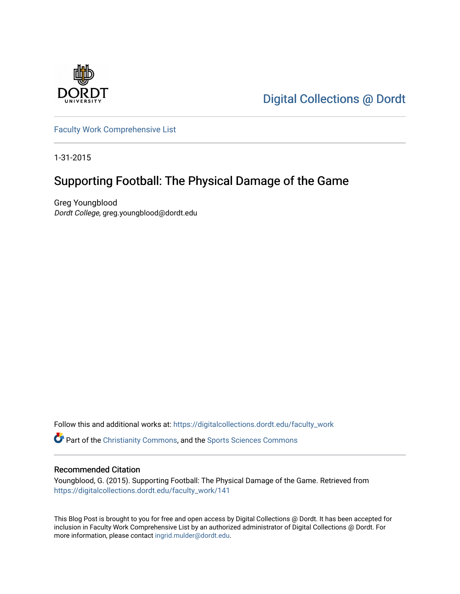

[Digital Collections @ Dordt](https://digitalcollections.dordt.edu/) 

[Faculty Work Comprehensive List](https://digitalcollections.dordt.edu/faculty_work)

1-31-2015

## Supporting Football: The Physical Damage of the Game

Greg Youngblood Dordt College, greg.youngblood@dordt.edu

Follow this and additional works at: [https://digitalcollections.dordt.edu/faculty\\_work](https://digitalcollections.dordt.edu/faculty_work?utm_source=digitalcollections.dordt.edu%2Ffaculty_work%2F141&utm_medium=PDF&utm_campaign=PDFCoverPages) 

Part of the [Christianity Commons,](http://network.bepress.com/hgg/discipline/1181?utm_source=digitalcollections.dordt.edu%2Ffaculty_work%2F141&utm_medium=PDF&utm_campaign=PDFCoverPages) and the [Sports Sciences Commons](http://network.bepress.com/hgg/discipline/759?utm_source=digitalcollections.dordt.edu%2Ffaculty_work%2F141&utm_medium=PDF&utm_campaign=PDFCoverPages)

#### Recommended Citation

Youngblood, G. (2015). Supporting Football: The Physical Damage of the Game. Retrieved from [https://digitalcollections.dordt.edu/faculty\\_work/141](https://digitalcollections.dordt.edu/faculty_work/141?utm_source=digitalcollections.dordt.edu%2Ffaculty_work%2F141&utm_medium=PDF&utm_campaign=PDFCoverPages) 

This Blog Post is brought to you for free and open access by Digital Collections @ Dordt. It has been accepted for inclusion in Faculty Work Comprehensive List by an authorized administrator of Digital Collections @ Dordt. For more information, please contact [ingrid.mulder@dordt.edu.](mailto:ingrid.mulder@dordt.edu)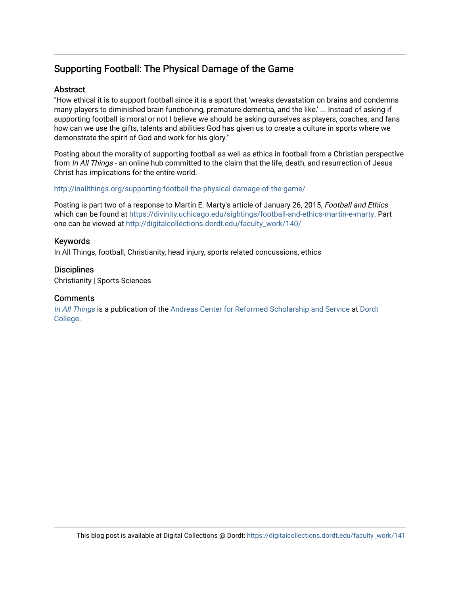## Supporting Football: The Physical Damage of the Game

#### **Abstract**

"How ethical it is to support football since it is a sport that 'wreaks devastation on brains and condemns many players to diminished brain functioning, premature dementia, and the like.' ... Instead of asking if supporting football is moral or not I believe we should be asking ourselves as players, coaches, and fans how can we use the gifts, talents and abilities God has given us to create a culture in sports where we demonstrate the spirit of God and work for his glory."

Posting about the morality of supporting football as well as ethics in football from a Christian perspective from In All Things - an online hub committed to the claim that the life, death, and resurrection of Jesus Christ has implications for the entire world.

#### <http://inallthings.org/supporting-football-the-physical-damage-of-the-game/>

Posting is part two of a response to Martin E. Marty's article of January 26, 2015, Football and Ethics which can be found at<https://divinity.uchicago.edu/sightings/football-and-ethics-martin-e-marty>. Part one can be viewed at [http://digitalcollections.dordt.edu/faculty\\_work/140/](http://digitalcollections.dordt.edu/faculty_work/140/)

#### Keywords

In All Things, football, Christianity, head injury, sports related concussions, ethics

#### **Disciplines**

Christianity | Sports Sciences

#### **Comments**

[In All Things](http://inallthings.org/) is a publication of the [Andreas Center for Reformed Scholarship and Service](http://www.dordt.edu/services_support/andreas_center/) at Dordt [College](http://www.dordt.edu/).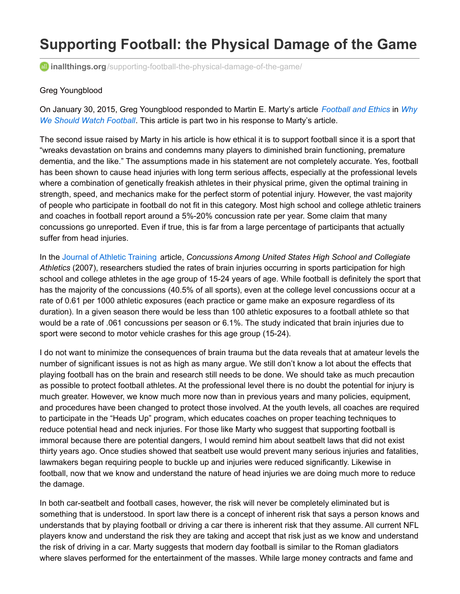# **Supporting Football: the Physical Damage of the Game**

**inallthings.org**[/supporting-football-the-physical-damage-of-the-game/](http://inallthings.org/supporting-football-the-physical-damage-of-the-game/)

#### Greg Youngblood

On January 30, 2015, Greg [Youngblood](http://inallthings.org/why-we-should-watch-football/) responded to Martin E. Marty's article *[Football](https://divinity.uchicago.edu/sightings/football-and-ethics-martin-e-marty) and Ethics* in *Why We Should Watch Football*. This article is part two in his response to Marty's article.

The second issue raised by Marty in his article is how ethical it is to support football since it is a sport that "wreaks devastation on brains and condemns many players to diminished brain functioning, premature dementia, and the like." The assumptions made in his statement are not completely accurate. Yes, football has been shown to cause head injuries with long term serious affects, especially at the professional levels where a combination of genetically freakish athletes in their physical prime, given the optimal training in strength, speed, and mechanics make for the perfect storm of potential injury. However, the vast majority of people who participate in football do not fit in this category. Most high school and college athletic trainers and coaches in football report around a 5%-20% concussion rate per year. Some claim that many concussions go unreported. Even if true, this is far from a large percentage of participants that actually suffer from head injuries.

In the Journal of Athletic [Training](http://www.nata.org/journal-of-athletic-training) article, *Concussions Among United States High School and Collegiate Athletics* (2007), researchers studied the rates of brain injuries occurring in sports participation for high school and college athletes in the age group of 15-24 years of age. While football is definitely the sport that has the majority of the concussions (40.5% of all sports), even at the college level concussions occur at a rate of 0.61 per 1000 athletic exposures (each practice or game make an exposure regardless of its duration). In a given season there would be less than 100 athletic exposures to a football athlete so that would be a rate of .061 concussions per season or 6.1%. The study indicated that brain injuries due to sport were second to motor vehicle crashes for this age group (15-24).

I do not want to minimize the consequences of brain trauma but the data reveals that at amateur levels the number of significant issues is not as high as many argue. We still don't know a lot about the effects that playing football has on the brain and research still needs to be done. We should take as much precaution as possible to protect football athletes. At the professional level there is no doubt the potential for injury is much greater. However, we know much more now than in previous years and many policies, equipment, and procedures have been changed to protect those involved. At the youth levels, all coaches are required to participate in the "Heads Up" program, which educates coaches on proper teaching techniques to reduce potential head and neck injuries. For those like Marty who suggest that supporting football is immoral because there are potential dangers, I would remind him about seatbelt laws that did not exist thirty years ago. Once studies showed that seatbelt use would prevent many serious injuries and fatalities, lawmakers began requiring people to buckle up and injuries were reduced significantly. Likewise in football, now that we know and understand the nature of head injuries we are doing much more to reduce the damage.

In both car-seatbelt and football cases, however, the risk will never be completely eliminated but is something that is understood. In sport law there is a concept of inherent risk that says a person knows and understands that by playing football or driving a car there is inherent risk that they assume. All current NFL players know and understand the risk they are taking and accept that risk just as we know and understand the risk of driving in a car. Marty suggests that modern day football is similar to the Roman gladiators where slaves performed for the entertainment of the masses. While large money contracts and fame and